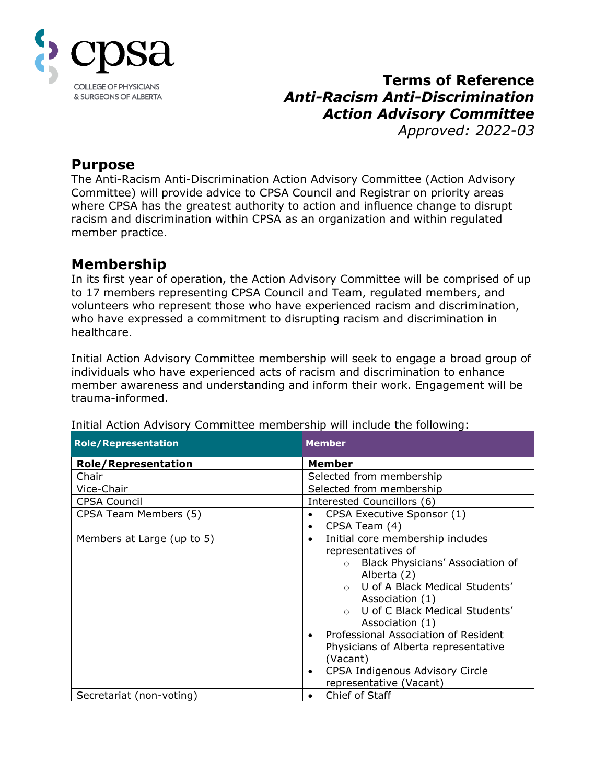

# **Terms of Reference** *Anti-Racism Anti-Discrimination Action Advisory Committee Approved: 2022-03*

**Purpose**

The Anti-Racism Anti-Discrimination Action Advisory Committee (Action Advisory Committee) will provide advice to CPSA Council and Registrar on priority areas where CPSA has the greatest authority to action and influence change to disrupt racism and discrimination within CPSA as an organization and within regulated member practice.

# **Membership**

In its first year of operation, the Action Advisory Committee will be comprised of up to 17 members representing CPSA Council and Team, regulated members, and volunteers who represent those who have experienced racism and discrimination, who have expressed a commitment to disrupting racism and discrimination in healthcare.

Initial Action Advisory Committee membership will seek to engage a broad group of individuals who have experienced acts of racism and discrimination to enhance member awareness and understanding and inform their work. Engagement will be trauma-informed.

| <b>Role/Representation</b> | <b>Member</b>                                     |
|----------------------------|---------------------------------------------------|
| <b>Role/Representation</b> | <b>Member</b>                                     |
| Chair                      | Selected from membership                          |
| Vice-Chair                 | Selected from membership                          |
| <b>CPSA Council</b>        | Interested Councillors (6)                        |
| CPSA Team Members (5)      | CPSA Executive Sponsor (1)<br>٠                   |
|                            | CPSA Team (4)<br>٠                                |
| Members at Large (up to 5) | Initial core membership includes<br>$\bullet$     |
|                            | representatives of                                |
|                            | Black Physicians' Association of<br>$\circ$       |
|                            | Alberta (2)                                       |
|                            | U of A Black Medical Students'<br>$\cap$          |
|                            | Association (1)                                   |
|                            | U of C Black Medical Students'                    |
|                            | Association (1)                                   |
|                            | Professional Association of Resident<br>$\bullet$ |
|                            | Physicians of Alberta representative              |
|                            | (Vacant)                                          |
|                            | CPSA Indigenous Advisory Circle<br>$\bullet$      |
|                            | representative (Vacant)                           |
| Secretariat (non-voting)   | Chief of Staff<br>٠                               |

#### Initial Action Advisory Committee membership will include the following: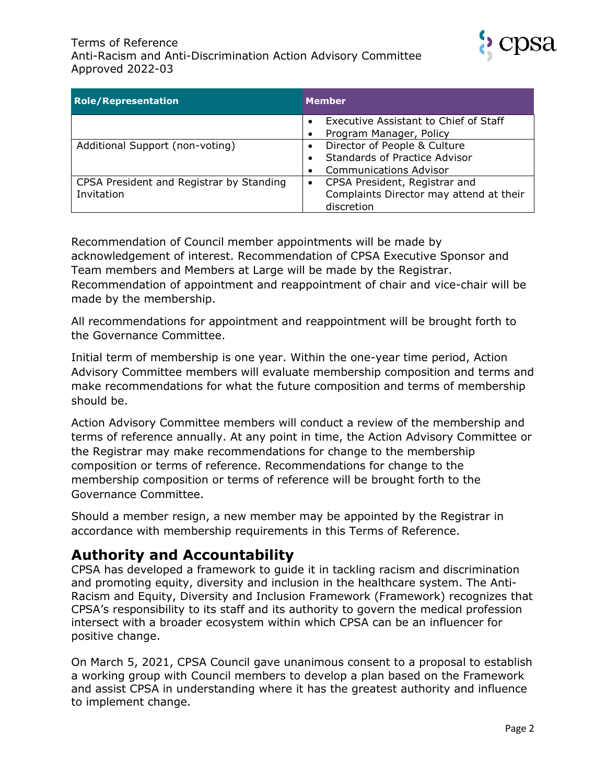

| <b>Role/Representation</b>               | <b>Member</b>                           |
|------------------------------------------|-----------------------------------------|
|                                          | Executive Assistant to Chief of Staff   |
|                                          | Program Manager, Policy                 |
| Additional Support (non-voting)          | Director of People & Culture            |
|                                          | <b>Standards of Practice Advisor</b>    |
|                                          | <b>Communications Advisor</b>           |
| CPSA President and Registrar by Standing | CPSA President, Registrar and           |
| Invitation                               | Complaints Director may attend at their |
|                                          | discretion                              |

Recommendation of Council member appointments will be made by acknowledgement of interest. Recommendation of CPSA Executive Sponsor and Team members and Members at Large will be made by the Registrar. Recommendation of appointment and reappointment of chair and vice-chair will be made by the membership.

All recommendations for appointment and reappointment will be brought forth to the Governance Committee.

Initial term of membership is one year. Within the one-year time period, Action Advisory Committee members will evaluate membership composition and terms and make recommendations for what the future composition and terms of membership should be.

Action Advisory Committee members will conduct a review of the membership and terms of reference annually. At any point in time, the Action Advisory Committee or the Registrar may make recommendations for change to the membership composition or terms of reference. Recommendations for change to the membership composition or terms of reference will be brought forth to the Governance Committee.

Should a member resign, a new member may be appointed by the Registrar in accordance with membership requirements in this Terms of Reference.

### **Authority and Accountability**

CPSA has developed a framework to guide it in tackling racism and discrimination and promoting equity, diversity and inclusion in the healthcare system. The Anti-Racism and Equity, Diversity and Inclusion Framework (Framework) recognizes that CPSA's responsibility to its staff and its authority to govern the medical profession intersect with a broader ecosystem within which CPSA can be an influencer for positive change.

On March 5, 2021, CPSA Council gave unanimous consent to a proposal to establish a working group with Council members to develop a plan based on the Framework and assist CPSA in understanding where it has the greatest authority and influence to implement change.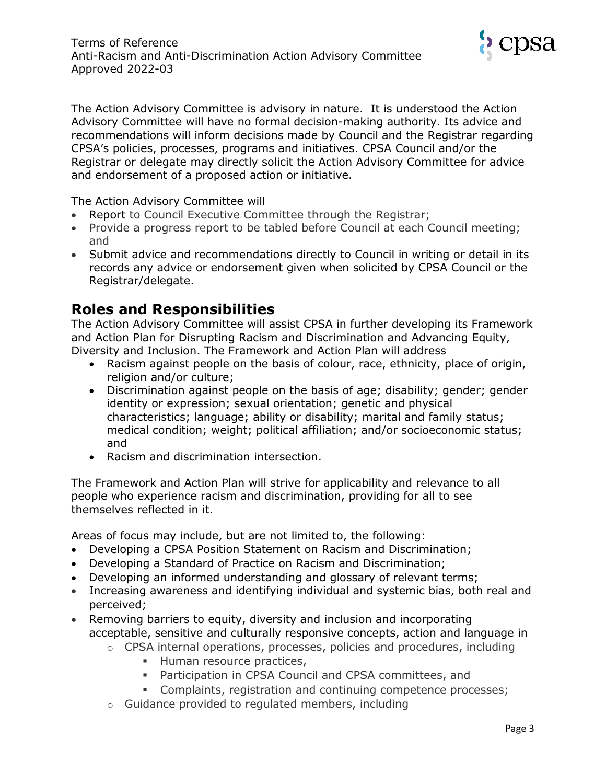

The Action Advisory Committee is advisory in nature. It is understood the Action Advisory Committee will have no formal decision-making authority. Its advice and recommendations will inform decisions made by Council and the Registrar regarding CPSA's policies, processes, programs and initiatives. CPSA Council and/or the Registrar or delegate may directly solicit the Action Advisory Committee for advice and endorsement of a proposed action or initiative.

The Action Advisory Committee will

- Report to Council Executive Committee through the Registrar;
- Provide a progress report to be tabled before Council at each Council meeting; and
- Submit advice and recommendations directly to Council in writing or detail in its records any advice or endorsement given when solicited by CPSA Council or the Registrar/delegate.

# **Roles and Responsibilities**

The Action Advisory Committee will assist CPSA in further developing its Framework and Action Plan for Disrupting Racism and Discrimination and Advancing Equity, Diversity and Inclusion. The Framework and Action Plan will address

- Racism against people on the basis of colour, race, ethnicity, place of origin, religion and/or culture;
- Discrimination against people on the basis of age; disability; gender; gender identity or expression; sexual orientation; genetic and physical characteristics; language; ability or disability; marital and family status; medical condition; weight; political affiliation; and/or socioeconomic status; and
- Racism and discrimination intersection.

The Framework and Action Plan will strive for applicability and relevance to all people who experience racism and discrimination, providing for all to see themselves reflected in it.

Areas of focus may include, but are not limited to, the following:

- Developing a CPSA Position Statement on Racism and Discrimination;
- Developing a Standard of Practice on Racism and Discrimination;
- Developing an informed understanding and glossary of relevant terms;
- Increasing awareness and identifying individual and systemic bias, both real and perceived;
- Removing barriers to equity, diversity and inclusion and incorporating acceptable, sensitive and culturally responsive concepts, action and language in
	- $\circ$  CPSA internal operations, processes, policies and procedures, including
		- **EXECUTE:** Human resource practices,
		- **Participation in CPSA Council and CPSA committees, and**
		- **Complaints, registration and continuing competence processes;**
	- o Guidance provided to regulated members, including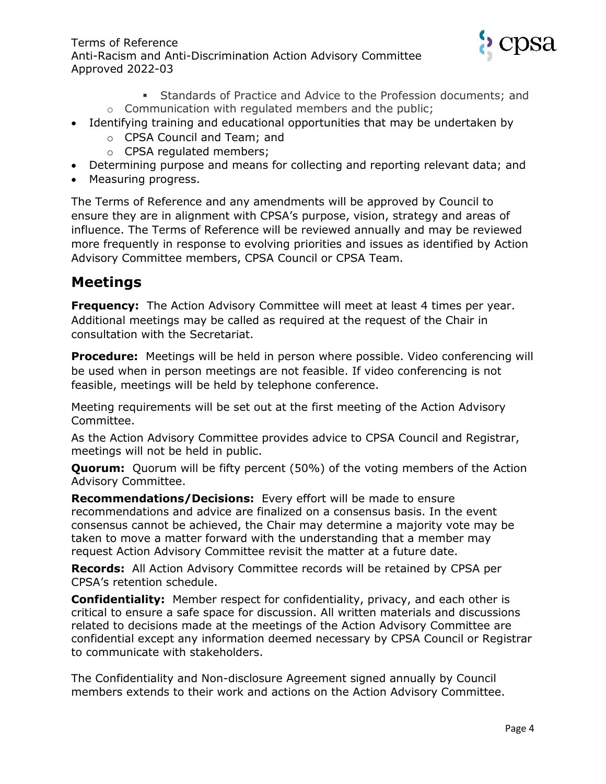

- Standards of Practice and Advice to the Profession documents; and
- o Communication with regulated members and the public;
- Identifying training and educational opportunities that may be undertaken by
	- o CPSA Council and Team; and
	- o CPSA regulated members;
- Determining purpose and means for collecting and reporting relevant data; and
- Measuring progress.

The Terms of Reference and any amendments will be approved by Council to ensure they are in alignment with CPSA's purpose, vision, strategy and areas of influence. The Terms of Reference will be reviewed annually and may be reviewed more frequently in response to evolving priorities and issues as identified by Action Advisory Committee members, CPSA Council or CPSA Team.

# **Meetings**

**Frequency:** The Action Advisory Committee will meet at least 4 times per year. Additional meetings may be called as required at the request of the Chair in consultation with the Secretariat.

**Procedure:** Meetings will be held in person where possible. Video conferencing will be used when in person meetings are not feasible. If video conferencing is not feasible, meetings will be held by telephone conference.

Meeting requirements will be set out at the first meeting of the Action Advisory Committee.

As the Action Advisory Committee provides advice to CPSA Council and Registrar, meetings will not be held in public.

**Quorum:** Quorum will be fifty percent (50%) of the voting members of the Action Advisory Committee.

**Recommendations/Decisions:** Every effort will be made to ensure recommendations and advice are finalized on a consensus basis. In the event consensus cannot be achieved, the Chair may determine a majority vote may be taken to move a matter forward with the understanding that a member may request Action Advisory Committee revisit the matter at a future date.

**Records:** All Action Advisory Committee records will be retained by CPSA per CPSA's retention schedule.

**Confidentiality:** Member respect for confidentiality, privacy, and each other is critical to ensure a safe space for discussion. All written materials and discussions related to decisions made at the meetings of the Action Advisory Committee are confidential except any information deemed necessary by CPSA Council or Registrar to communicate with stakeholders.

The Confidentiality and Non-disclosure Agreement signed annually by Council members extends to their work and actions on the Action Advisory Committee.